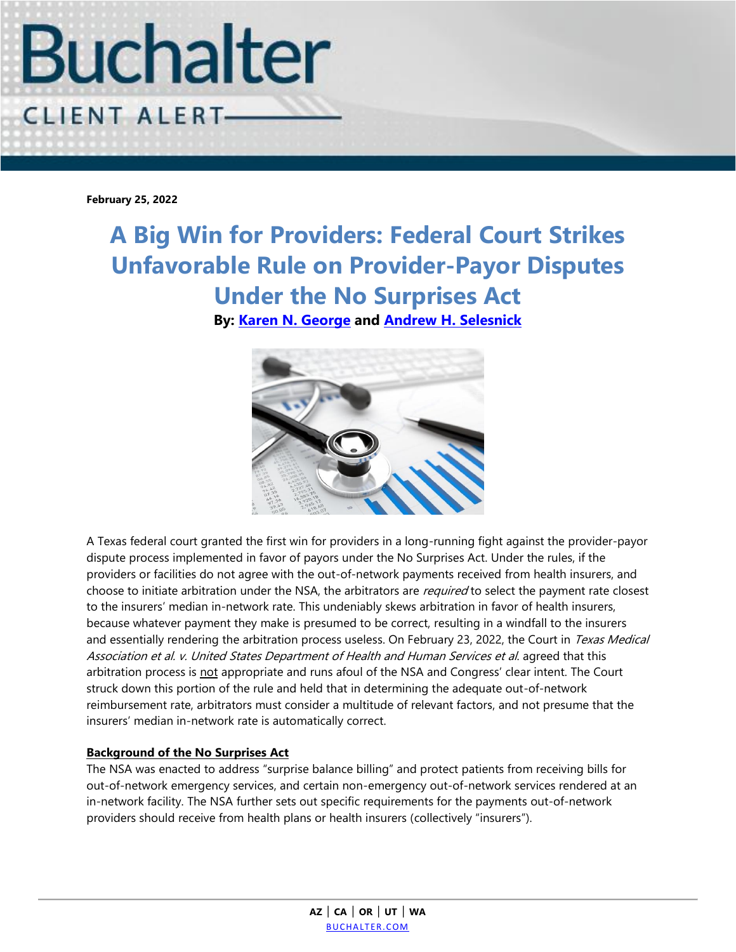

**February 25, 2022**

**A Big Win for Providers: Federal Court Strikes Unfavorable Rule on Provider-Payor Disputes Under the No Surprises Act By: [Karen N. George](https://www.buchalter.com/attorneys/karen-n-george/#bio) and Andrew H. [Selesnick](https://www.buchalter.com/attorneys/andrew-h-selesnick/#bio)**



A Texas federal court granted the first win for providers in a long-running fight against the provider-payor dispute process implemented in favor of payors under the No Surprises Act. Under the rules, if the providers or facilities do not agree with the out-of-network payments received from health insurers, and choose to initiate arbitration under the NSA, the arbitrators are *required* to select the payment rate closest to the insurers' median in-network rate. This undeniably skews arbitration in favor of health insurers, because whatever payment they make is presumed to be correct, resulting in a windfall to the insurers and essentially rendering the arbitration process useless. On February 23, 2022, the Court in Texas Medical Association et al. v. United States Department of Health and Human Services et al. agreed that this arbitration process is not appropriate and runs afoul of the NSA and Congress' clear intent. The Court struck down this portion of the rule and held that in determining the adequate out-of-network reimbursement rate, arbitrators must consider a multitude of relevant factors, and not presume that the insurers' median in-network rate is automatically correct.

## **Background of the No Surprises Act**

The NSA was enacted to address "surprise balance billing" and protect patients from receiving bills for out-of-network emergency services, and certain non-emergency out-of-network services rendered at an in-network facility. The NSA further sets out specific requirements for the payments out-of-network providers should receive from health plans or health insurers (collectively "insurers").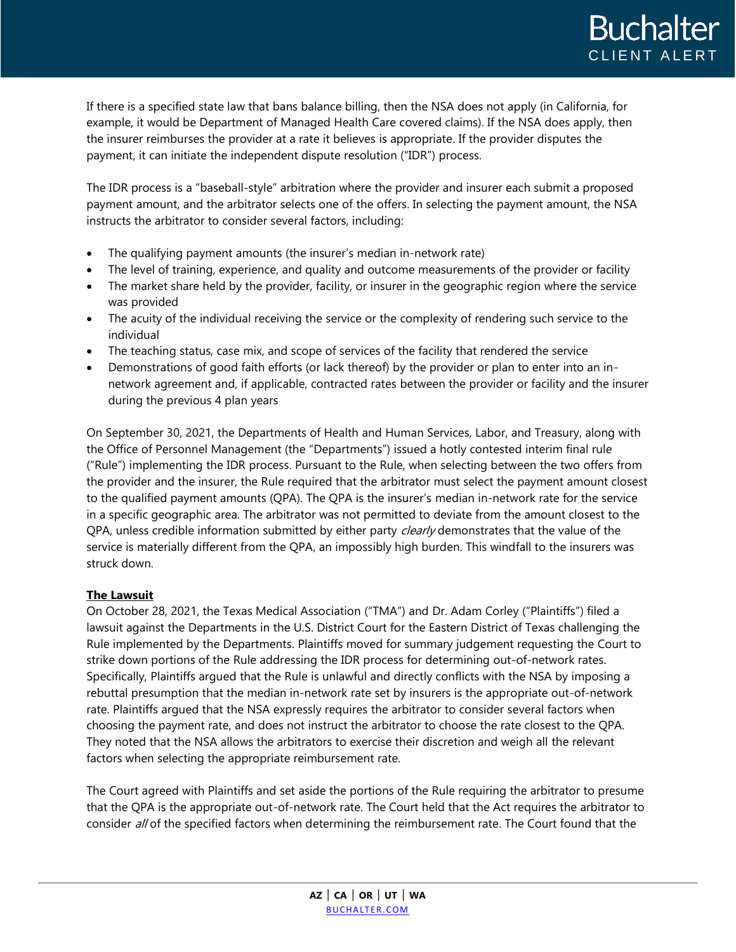If there is a specified state law that bans balance billing, then the NSA does not apply (in California, for example, it would be Department of Managed Health Care covered claims). If the NSA does apply, then the insurer reimburses the provider at a rate it believes is appropriate. If the provider disputes the payment, it can initiate the independent dispute resolution ("IDR") process.

The IDR process is a "baseball-style" arbitration where the provider and insurer each submit a proposed payment amount, and the arbitrator selects one of the offers. In selecting the payment amount, the NSA instructs the arbitrator to consider several factors, including:

- The qualifying payment amounts (the insurer's median in-network rate)
- The level of training, experience, and quality and outcome measurements of the provider or facility
- The market share held by the provider, facility, or insurer in the geographic region where the service was provided
- The acuity of the individual receiving the service or the complexity of rendering such service to the individual
- The teaching status, case mix, and scope of services of the facility that rendered the service
- Demonstrations of good faith efforts (or lack thereof) by the provider or plan to enter into an innetwork agreement and, if applicable, contracted rates between the provider or facility and the insurer during the previous 4 plan years

On September 30, 2021, the Departments of Health and Human Services, Labor, and Treasury, along with the Office of Personnel Management (the "Departments") issued a hotly contested interim final rule ("Rule") implementing the IDR process. Pursuant to the Rule, when selecting between the two offers from the provider and the insurer, the Rule required that the arbitrator must select the payment amount closest to the qualified payment amounts (QPA). The QPA is the insurer's median in-network rate for the service in a specific geographic area. The arbitrator was not permitted to deviate from the amount closest to the QPA, unless credible information submitted by either party *clearly* demonstrates that the value of the service is materially different from the QPA, an impossibly high burden. This windfall to the insurers was struck down.

## **The Lawsuit**

On October 28, 2021, the Texas Medical Association ("TMA") and Dr. Adam Corley ("Plaintiffs") filed a lawsuit against the Departments in the U.S. District Court for the Eastern District of Texas challenging the Rule implemented by the Departments. Plaintiffs moved for summary judgement requesting the Court to strike down portions of the Rule addressing the IDR process for determining out-of-network rates. Specifically, Plaintiffs argued that the Rule is unlawful and directly conflicts with the NSA by imposing a rebuttal presumption that the median in-network rate set by insurers is the appropriate out-of-network rate. Plaintiffs argued that the NSA expressly requires the arbitrator to consider several factors when choosing the payment rate, and does not instruct the arbitrator to choose the rate closest to the QPA. They noted that the NSA allows the arbitrators to exercise their discretion and weigh all the relevant factors when selecting the appropriate reimbursement rate.

The Court agreed with Plaintiffs and set aside the portions of the Rule requiring the arbitrator to presume that the QPA is the appropriate out-of-network rate. The Court held that the Act requires the arbitrator to consider all of the specified factors when determining the reimbursement rate. The Court found that the